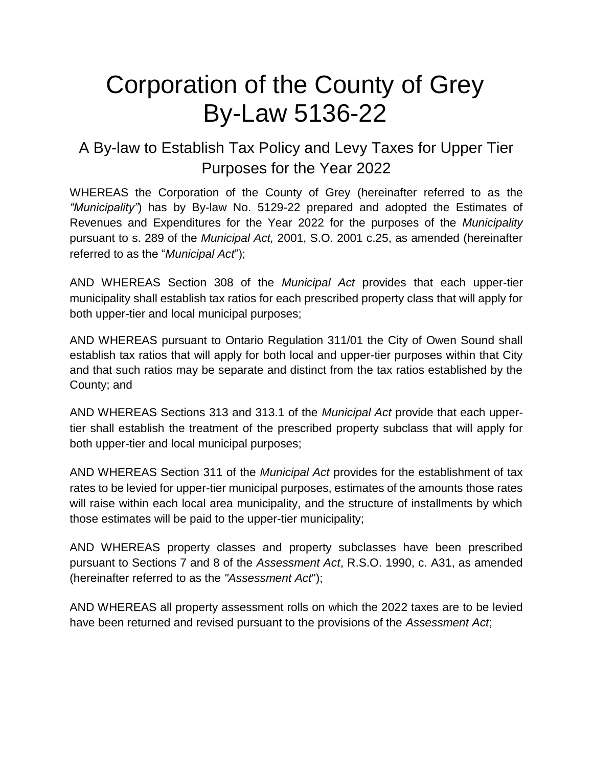# Corporation of the County of Grey By-Law 5136-22

## A By-law to Establish Tax Policy and Levy Taxes for Upper Tier Purposes for the Year 2022

WHEREAS the Corporation of the County of Grey (hereinafter referred to as the *"Municipality"*) has by By-law No. 5129-22 prepared and adopted the Estimates of Revenues and Expenditures for the Year 2022 for the purposes of the *Municipality* pursuant to s. 289 of the *Municipal Act,* 2001, S.O. 2001 c.25, as amended (hereinafter referred to as the "*Municipal Act*");

AND WHEREAS Section 308 of the *Municipal Act* provides that each upper-tier municipality shall establish tax ratios for each prescribed property class that will apply for both upper-tier and local municipal purposes;

AND WHEREAS pursuant to Ontario Regulation 311/01 the City of Owen Sound shall establish tax ratios that will apply for both local and upper-tier purposes within that City and that such ratios may be separate and distinct from the tax ratios established by the County; and

AND WHEREAS Sections 313 and 313.1 of the *Municipal Act* provide that each uppertier shall establish the treatment of the prescribed property subclass that will apply for both upper-tier and local municipal purposes;

AND WHEREAS Section 311 of the *Municipal Act* provides for the establishment of tax rates to be levied for upper-tier municipal purposes, estimates of the amounts those rates will raise within each local area municipality, and the structure of installments by which those estimates will be paid to the upper-tier municipality;

AND WHEREAS property classes and property subclasses have been prescribed pursuant to Sections 7 and 8 of the *Assessment Act*, R.S.O. 1990, c. A31, as amended (hereinafter referred to as the *"Assessment Act*");

AND WHEREAS all property assessment rolls on which the 2022 taxes are to be levied have been returned and revised pursuant to the provisions of the *Assessment Act*;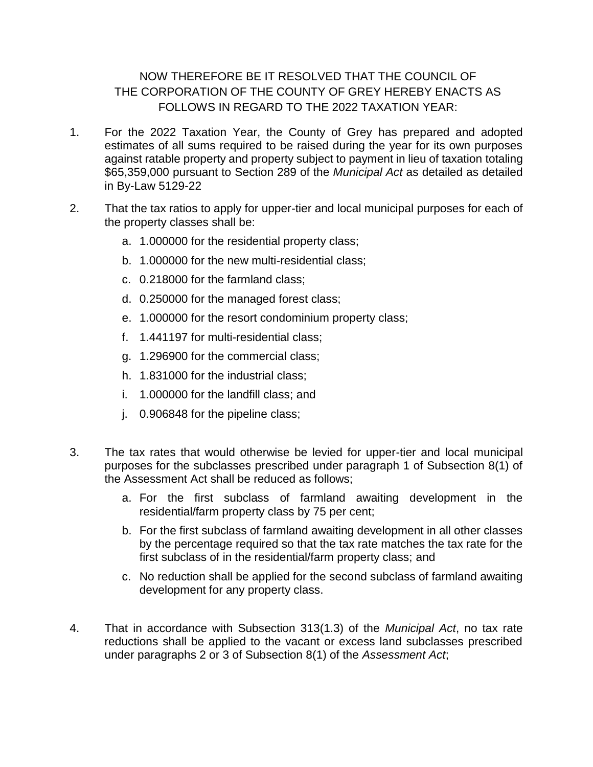#### NOW THEREFORE BE IT RESOLVED THAT THE COUNCIL OF THE CORPORATION OF THE COUNTY OF GREY HEREBY ENACTS AS FOLLOWS IN REGARD TO THE 2022 TAXATION YEAR:

- 1. For the 2022 Taxation Year, the County of Grey has prepared and adopted estimates of all sums required to be raised during the year for its own purposes against ratable property and property subject to payment in lieu of taxation totaling \$65,359,000 pursuant to Section 289 of the *Municipal Act* as detailed as detailed in By-Law 5129-22
- 2. That the tax ratios to apply for upper-tier and local municipal purposes for each of the property classes shall be:
	- a. 1.000000 for the residential property class;
	- b. 1.000000 for the new multi-residential class;
	- c. 0.218000 for the farmland class;
	- d. 0.250000 for the managed forest class;
	- e. 1.000000 for the resort condominium property class;
	- f. 1.441197 for multi-residential class;
	- g. 1.296900 for the commercial class;
	- h. 1.831000 for the industrial class;
	- i. 1.000000 for the landfill class; and
	- j. 0.906848 for the pipeline class;
- 3. The tax rates that would otherwise be levied for upper-tier and local municipal purposes for the subclasses prescribed under paragraph 1 of Subsection 8(1) of the Assessment Act shall be reduced as follows;
	- a. For the first subclass of farmland awaiting development in the residential/farm property class by 75 per cent;
	- b. For the first subclass of farmland awaiting development in all other classes by the percentage required so that the tax rate matches the tax rate for the first subclass of in the residential/farm property class; and
	- c. No reduction shall be applied for the second subclass of farmland awaiting development for any property class.
- 4. That in accordance with Subsection 313(1.3) of the *Municipal Act*, no tax rate reductions shall be applied to the vacant or excess land subclasses prescribed under paragraphs 2 or 3 of Subsection 8(1) of the *Assessment Act*;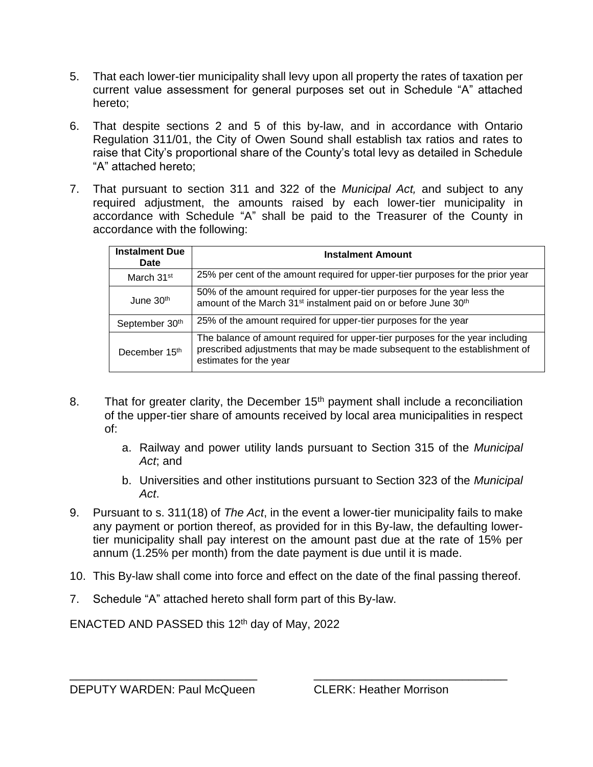- 5. That each lower-tier municipality shall levy upon all property the rates of taxation per current value assessment for general purposes set out in Schedule "A" attached hereto;
- 6. That despite sections 2 and 5 of this by-law, and in accordance with Ontario Regulation 311/01, the City of Owen Sound shall establish tax ratios and rates to raise that City's proportional share of the County's total levy as detailed in Schedule "A" attached hereto;
- 7. That pursuant to section 311 and 322 of the *Municipal Act,* and subject to any required adjustment, the amounts raised by each lower-tier municipality in accordance with Schedule "A" shall be paid to the Treasurer of the County in accordance with the following:

| <b>Instalment Due</b><br>Date | <b>Instalment Amount</b>                                                                                                                                                              |
|-------------------------------|---------------------------------------------------------------------------------------------------------------------------------------------------------------------------------------|
| March 31 <sup>st</sup>        | 25% per cent of the amount required for upper-tier purposes for the prior year                                                                                                        |
| June 30 <sup>th</sup>         | 50% of the amount required for upper-tier purposes for the year less the<br>amount of the March 31 <sup>st</sup> instalment paid on or before June 30 <sup>th</sup>                   |
| September 30th                | 25% of the amount required for upper-tier purposes for the year                                                                                                                       |
| December 15 <sup>th</sup>     | The balance of amount required for upper-tier purposes for the year including<br>prescribed adjustments that may be made subsequent to the establishment of<br>estimates for the year |

- 8. That for greater clarity, the December  $15<sup>th</sup>$  payment shall include a reconciliation of the upper-tier share of amounts received by local area municipalities in respect of:
	- a. Railway and power utility lands pursuant to Section 315 of the *Municipal Act*; and
	- b. Universities and other institutions pursuant to Section 323 of the *Municipal Act*.
- 9. Pursuant to s. 311(18) of *The Act*, in the event a lower-tier municipality fails to make any payment or portion thereof, as provided for in this By-law, the defaulting lowertier municipality shall pay interest on the amount past due at the rate of 15% per annum (1.25% per month) from the date payment is due until it is made.
- 10. This By-law shall come into force and effect on the date of the final passing thereof.

\_\_\_\_\_\_\_\_\_\_\_\_\_\_\_\_\_\_\_\_\_\_\_\_\_\_\_\_\_ \_\_\_\_\_\_\_\_\_\_\_\_\_\_\_\_\_\_\_\_\_\_\_\_\_\_\_\_\_\_

7. Schedule "A" attached hereto shall form part of this By-law.

ENACTED AND PASSED this 12<sup>th</sup> day of May, 2022